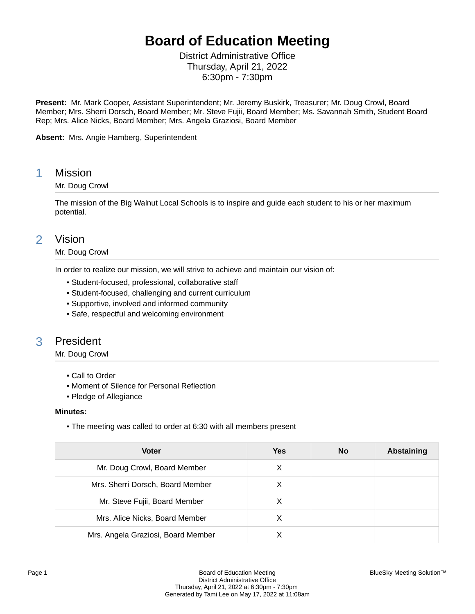# **Board of Education Meeting**

District Administrative Office Thursday, April 21, 2022 6:30pm - 7:30pm

**Present:** Mr. Mark Cooper, Assistant Superintendent; Mr. Jeremy Buskirk, Treasurer; Mr. Doug Crowl, Board Member; Mrs. Sherri Dorsch, Board Member; Mr. Steve Fujii, Board Member; Ms. Savannah Smith, Student Board Rep; Mrs. Alice Nicks, Board Member; Mrs. Angela Graziosi, Board Member

**Absent:** Mrs. Angie Hamberg, Superintendent

### 1 Mission

### Mr. Doug Crowl

The mission of the Big Walnut Local Schools is to inspire and guide each student to his or her maximum potential.

### 2 Vision

#### Mr. Doug Crowl

In order to realize our mission, we will strive to achieve and maintain our vision of:

- Student-focused, professional, collaborative staff
- Student-focused, challenging and current curriculum
- Supportive, involved and informed community
- Safe, respectful and welcoming environment

# 3 President

Mr. Doug Crowl

- Call to Order
- Moment of Silence for Personal Reflection
- Pledge of Allegiance

#### **Minutes:**

• The meeting was called to order at 6:30 with all members present

| <b>Voter</b>                       | <b>Yes</b> | <b>No</b> | <b>Abstaining</b> |
|------------------------------------|------------|-----------|-------------------|
| Mr. Doug Crowl, Board Member       | X          |           |                   |
| Mrs. Sherri Dorsch, Board Member   | X          |           |                   |
| Mr. Steve Fujii, Board Member      | X          |           |                   |
| Mrs. Alice Nicks, Board Member     | X          |           |                   |
| Mrs. Angela Graziosi, Board Member |            |           |                   |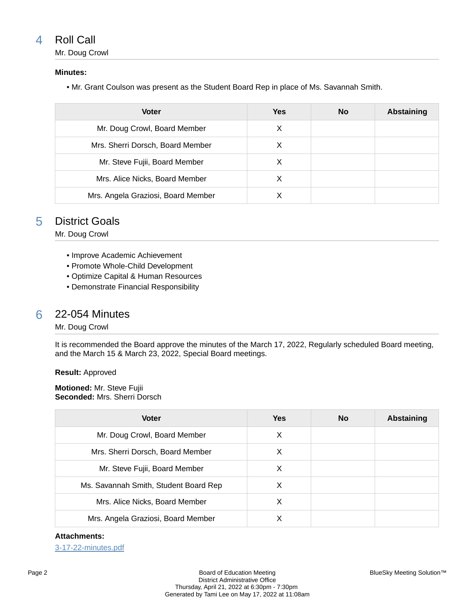# 4 Roll Call

Mr. Doug Crowl

### **Minutes:**

• Mr. Grant Coulson was present as the Student Board Rep in place of Ms. Savannah Smith.

| <b>Voter</b>                       | <b>Yes</b> | <b>No</b> | Abstaining |
|------------------------------------|------------|-----------|------------|
| Mr. Doug Crowl, Board Member       | X          |           |            |
| Mrs. Sherri Dorsch, Board Member   | х          |           |            |
| Mr. Steve Fujii, Board Member      | X          |           |            |
| Mrs. Alice Nicks, Board Member     | х          |           |            |
| Mrs. Angela Graziosi, Board Member |            |           |            |

# 5 District Goals

Mr. Doug Crowl

- Improve Academic Achievement
- Promote Whole-Child Development
- Optimize Capital & Human Resources
- Demonstrate Financial Responsibility

# 6 22-054 Minutes

Mr. Doug Crowl

It is recommended the Board approve the minutes of the March 17, 2022, Regularly scheduled Board meeting, and the March 15 & March 23, 2022, Special Board meetings.

**Result:** Approved

**Motioned:** Mr. Steve Fujii **Seconded:** Mrs. Sherri Dorsch

| <b>Voter</b>                          | <b>Yes</b> | <b>No</b> | Abstaining |
|---------------------------------------|------------|-----------|------------|
| Mr. Doug Crowl, Board Member          | X          |           |            |
| Mrs. Sherri Dorsch, Board Member      | х          |           |            |
| Mr. Steve Fujii, Board Member         | X          |           |            |
| Ms. Savannah Smith, Student Board Rep | X          |           |            |
| Mrs. Alice Nicks, Board Member        | х          |           |            |
| Mrs. Angela Graziosi, Board Member    | х          |           |            |

#### **Attachments:**

[3-17-22-minutes.pdf](https://bigwalnut.blueskymeeting.com/meeting_groups/274/item_attachments/66368)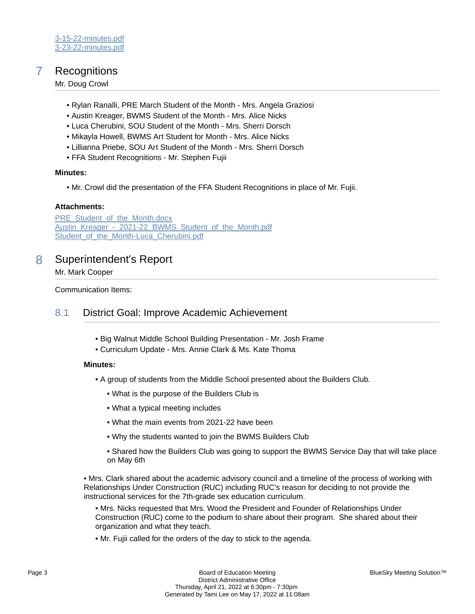# 7 Recognitions

Mr. Doug Crowl

- Rylan Ranalli, PRE March Student of the Month Mrs. Angela Graziosi
- Austin Kreager, BWMS Student of the Month Mrs. Alice Nicks
- Luca Cherubini, SOU Student of the Month Mrs. Sherri Dorsch
- Mikayla Howell, BWMS Art Student for Month Mrs. Alice Nicks
- Lillianna Priebe, SOU Art Student of the Month Mrs. Sherri Dorsch
- FFA Student Recognitions Mr. Stephen Fujii

#### **Minutes:**

• Mr. Crowl did the presentation of the FFA Student Recognitions in place of Mr. Fujii.

#### **Attachments:**

[PRE\\_Student\\_of\\_the\\_Month.docx](https://bigwalnut.blueskymeeting.com/meeting_groups/274/item_attachments/66371) Austin\_Kreager - 2021-22 BWMS\_Student\_of\_the\_Month.pdf Student of the Month-Luca Cherubini.pdf

# 8 Superintendent's Report

#### Mr. Mark Cooper

Communication Items:

### 8.1 District Goal: Improve Academic Achievement

- Big Walnut Middle School Building Presentation Mr. Josh Frame
- Curriculum Update Mrs. Annie Clark & Ms. Kate Thoma

#### **Minutes:**

- A group of students from the Middle School presented about the Builders Club.
	- What is the purpose of the Builders Club is
	- What a typical meeting includes
	- What the main events from 2021-22 have been
	- Why the students wanted to join the BWMS Builders Club
	- Shared how the Builders Club was going to support the BWMS Service Day that will take place on May 6th

• Mrs. Clark shared about the academic advisory council and a timeline of the process of working with Relationships Under Construction (RUC) including RUC's reason for deciding to not provide the instructional services for the 7th-grade sex education curriculum.

- Mrs. Nicks requested that Mrs. Wood the President and Founder of Relationships Under Construction (RUC) come to the podium to share about their program. She shared about their organization and what they teach.
- Mr. Fujii called for the orders of the day to stick to the agenda.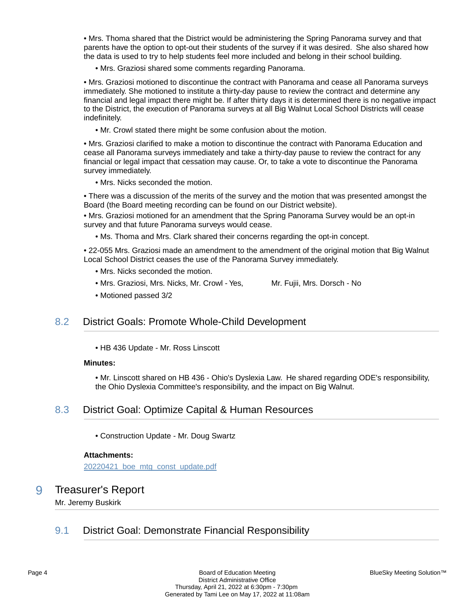• Mrs. Thoma shared that the District would be administering the Spring Panorama survey and that parents have the option to opt-out their students of the survey if it was desired. She also shared how the data is used to try to help students feel more included and belong in their school building.

• Mrs. Graziosi shared some comments regarding Panorama.

• Mrs. Graziosi motioned to discontinue the contract with Panorama and cease all Panorama surveys immediately. She motioned to institute a thirty-day pause to review the contract and determine any financial and legal impact there might be. If after thirty days it is determined there is no negative impact to the District, the execution of Panorama surveys at all Big Walnut Local School Districts will cease indefinitely.

• Mr. Crowl stated there might be some confusion about the motion.

• Mrs. Graziosi clarified to make a motion to discontinue the contract with Panorama Education and cease all Panorama surveys immediately and take a thirty-day pause to review the contract for any financial or legal impact that cessation may cause. Or, to take a vote to discontinue the Panorama survey immediately.

• Mrs. Nicks seconded the motion.

• There was a discussion of the merits of the survey and the motion that was presented amongst the Board (the Board meeting recording can be found on our District website).

• Mrs. Graziosi motioned for an amendment that the Spring Panorama Survey would be an opt-in survey and that future Panorama surveys would cease.

• Ms. Thoma and Mrs. Clark shared their concerns regarding the opt-in concept.

• 22-055 Mrs. Graziosi made an amendment to the amendment of the original motion that Big Walnut Local School District ceases the use of the Panorama Survey immediately.

- Mrs. Nicks seconded the motion.
- Mrs. Graziosi, Mrs. Nicks, Mr. Crowl Yes, Mr. Fujii, Mrs. Dorsch No

• Motioned passed 3/2

# 8.2 District Goals: Promote Whole-Child Development

• HB 436 Update - Mr. Ross Linscott

#### **Minutes:**

• Mr. Linscott shared on HB 436 - Ohio's Dyslexia Law. He shared regarding ODE's responsibility, the Ohio Dyslexia Committee's responsibility, and the impact on Big Walnut.

### 8.3 District Goal: Optimize Capital & Human Resources

• Construction Update - Mr. Doug Swartz

#### **Attachments:**

[20220421\\_boe\\_mtg\\_const\\_update.pdf](https://bigwalnut.blueskymeeting.com/meeting_groups/274/item_attachments/66374)

### 9 Treasurer's Report

Mr. Jeremy Buskirk

# 9.1 District Goal: Demonstrate Financial Responsibility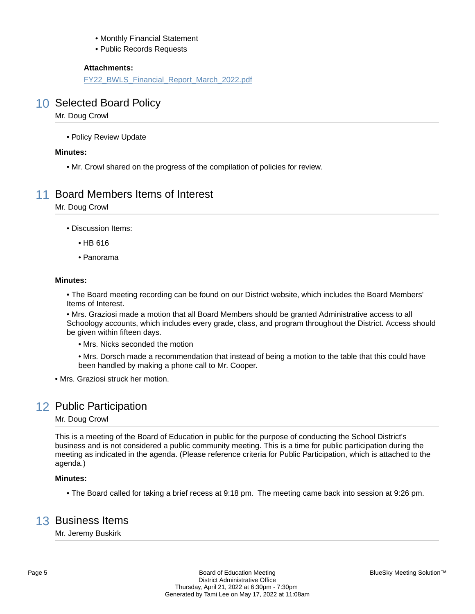- Monthly Financial Statement
- Public Records Requests

[FY22\\_BWLS\\_Financial\\_Report\\_March\\_2022.pdf](https://bigwalnut.blueskymeeting.com/meeting_groups/274/item_attachments/66235)

# 10 Selected Board Policy

Mr. Doug Crowl

• Policy Review Update

#### **Minutes:**

• Mr. Crowl shared on the progress of the compilation of policies for review.

# 11 Board Members Items of Interest

Mr. Doug Crowl

• Discussion Items:

- HB 616
- Panorama

#### **Minutes:**

• The Board meeting recording can be found on our District website, which includes the Board Members' Items of Interest.

• Mrs. Graziosi made a motion that all Board Members should be granted Administrative access to all Schoology accounts, which includes every grade, class, and program throughout the District. Access should be given within fifteen days.

• Mrs. Nicks seconded the motion

• Mrs. Dorsch made a recommendation that instead of being a motion to the table that this could have been handled by making a phone call to Mr. Cooper.

• Mrs. Graziosi struck her motion.

# 12 Public Participation

Mr. Doug Crowl

This is a meeting of the Board of Education in public for the purpose of conducting the School District's business and is not considered a public community meeting. This is a time for public participation during the meeting as indicated in the agenda. (Please reference criteria for Public Participation, which is attached to the agenda.)

### **Minutes:**

• The Board called for taking a brief recess at 9:18 pm. The meeting came back into session at 9:26 pm.

# 13 Business Items

Mr. Jeremy Buskirk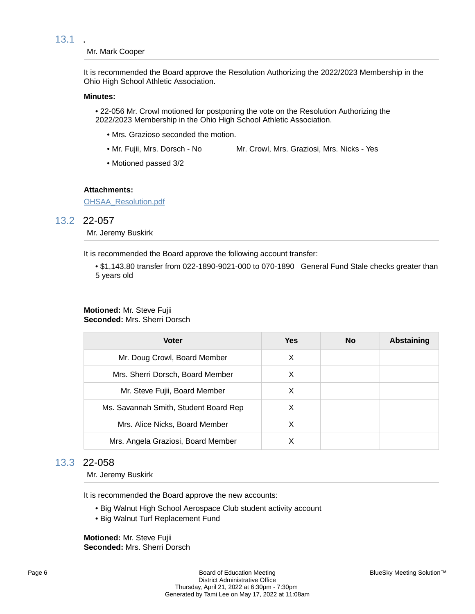### 13.1 .

#### Mr. Mark Cooper

It is recommended the Board approve the Resolution Authorizing the 2022/2023 Membership in the Ohio High School Athletic Association.

#### **Minutes:**

• 22-056 Mr. Crowl motioned for postponing the vote on the Resolution Authorizing the 2022/2023 Membership in the Ohio High School Athletic Association.

- Mrs. Grazioso seconded the motion.
- Mr. Fujii, Mrs. Dorsch No Mr. Crowl, Mrs. Graziosi, Mrs. Nicks Yes
- Motioned passed 3/2

#### **Attachments:**

[OHSAA\\_Resolution.pdf](https://bigwalnut.blueskymeeting.com/meeting_groups/274/item_attachments/66145)

## 13.2 22-057

Mr. Jeremy Buskirk

It is recommended the Board approve the following account transfer:

• \$1,143.80 transfer from 022-1890-9021-000 to 070-1890 General Fund Stale checks greater than 5 years old

# **Motioned:** Mr. Steve Fujii

**Seconded:** Mrs. Sherri Dorsch

| <b>Voter</b>                          | <b>Yes</b> | No | <b>Abstaining</b> |
|---------------------------------------|------------|----|-------------------|
| Mr. Doug Crowl, Board Member          | X          |    |                   |
| Mrs. Sherri Dorsch, Board Member      | X          |    |                   |
| Mr. Steve Fujii, Board Member         | X          |    |                   |
| Ms. Savannah Smith, Student Board Rep | X          |    |                   |
| Mrs. Alice Nicks, Board Member        | X          |    |                   |
| Mrs. Angela Graziosi, Board Member    | х          |    |                   |

### 13.3 22-058

Mr. Jeremy Buskirk

It is recommended the Board approve the new accounts:

- Big Walnut High School Aerospace Club student activity account
- Big Walnut Turf Replacement Fund

**Motioned:** Mr. Steve Fujii **Seconded:** Mrs. Sherri Dorsch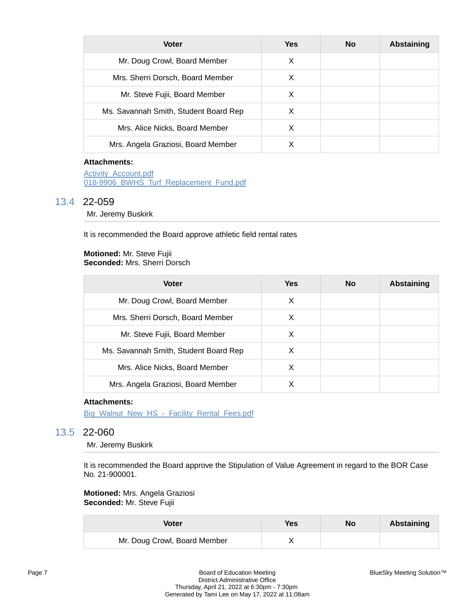| <b>Voter</b>                          | <b>Yes</b> | <b>No</b> | <b>Abstaining</b> |
|---------------------------------------|------------|-----------|-------------------|
| Mr. Doug Crowl, Board Member          | X          |           |                   |
| Mrs. Sherri Dorsch, Board Member      | X          |           |                   |
| Mr. Steve Fujii, Board Member         | X          |           |                   |
| Ms. Savannah Smith, Student Board Rep | X          |           |                   |
| Mrs. Alice Nicks, Board Member        | х          |           |                   |
| Mrs. Angela Graziosi, Board Member    |            |           |                   |

[Activity\\_Account.pdf](https://bigwalnut.blueskymeeting.com/meeting_groups/274/item_attachments/66173) [018-9906\\_BWHS\\_Turf\\_Replacement\\_Fund.pdf](https://bigwalnut.blueskymeeting.com/meeting_groups/274/item_attachments/66185)

### 13.4 22-059

Mr. Jeremy Buskirk

It is recommended the Board approve athletic field rental rates

#### **Motioned:** Mr. Steve Fujii **Seconded:** Mrs. Sherri Dorsch

| <b>Voter</b>                          | Yes | <b>No</b> | Abstaining |
|---------------------------------------|-----|-----------|------------|
| Mr. Doug Crowl, Board Member          | X   |           |            |
| Mrs. Sherri Dorsch, Board Member      | х   |           |            |
| Mr. Steve Fujii, Board Member         | X   |           |            |
| Ms. Savannah Smith, Student Board Rep | X   |           |            |
| Mrs. Alice Nicks, Board Member        | х   |           |            |
| Mrs. Angela Graziosi, Board Member    | х   |           |            |

### **Attachments:**

[Big\\_Walnut\\_New\\_HS\\_-\\_Facility\\_Rental\\_Fees.pdf](https://bigwalnut.blueskymeeting.com/meeting_groups/274/item_attachments/66236)

# 13.5 22-060

Mr. Jeremy Buskirk

It is recommended the Board approve the Stipulation of Value Agreement in regard to the BOR Case No. 21-900001.

#### **Motioned:** Mrs. Angela Graziosi **Seconded:** Mr. Steve Fujii

| Voter                        | <b>Yes</b> | No | Abstaining |
|------------------------------|------------|----|------------|
| Mr. Doug Crowl, Board Member |            |    |            |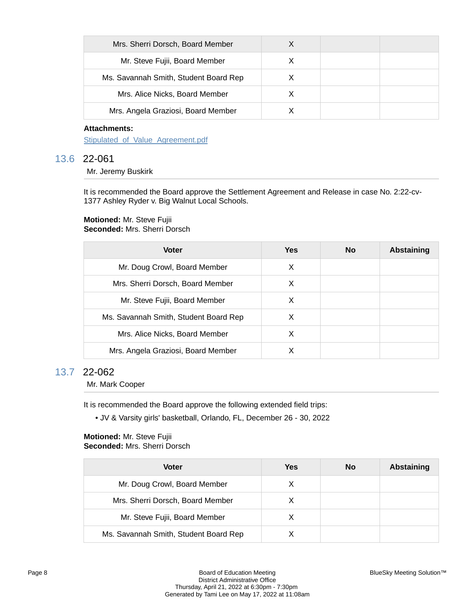| Mrs. Sherri Dorsch, Board Member      |  |  |
|---------------------------------------|--|--|
| Mr. Steve Fujii, Board Member         |  |  |
| Ms. Savannah Smith, Student Board Rep |  |  |
| Mrs. Alice Nicks, Board Member        |  |  |
| Mrs. Angela Graziosi, Board Member    |  |  |

Stipulated of Value Agreement.pdf

### 13.6 22-061

Mr. Jeremy Buskirk

It is recommended the Board approve the Settlement Agreement and Release in case No. 2:22-cv-1377 Ashley Ryder v. Big Walnut Local Schools.

#### **Motioned:** Mr. Steve Fujii **Seconded:** Mrs. Sherri Dorsch

| <b>Voter</b>                          | Yes | <b>No</b> | Abstaining |
|---------------------------------------|-----|-----------|------------|
| Mr. Doug Crowl, Board Member          | X   |           |            |
| Mrs. Sherri Dorsch, Board Member      | X   |           |            |
| Mr. Steve Fujii, Board Member         | X   |           |            |
| Ms. Savannah Smith, Student Board Rep | х   |           |            |
| Mrs. Alice Nicks, Board Member        | X   |           |            |
| Mrs. Angela Graziosi, Board Member    |     |           |            |

### 13.7 22-062

Mr. Mark Cooper

It is recommended the Board approve the following extended field trips:

• JV & Varsity girls' basketball, Orlando, FL, December 26 - 30, 2022

#### **Motioned:** Mr. Steve Fujii **Seconded:** Mrs. Sherri Dorsch

| Voter                                 | Yes | No | Abstaining |
|---------------------------------------|-----|----|------------|
| Mr. Doug Crowl, Board Member          | X   |    |            |
| Mrs. Sherri Dorsch, Board Member      | X   |    |            |
| Mr. Steve Fujii, Board Member         | X   |    |            |
| Ms. Savannah Smith, Student Board Rep |     |    |            |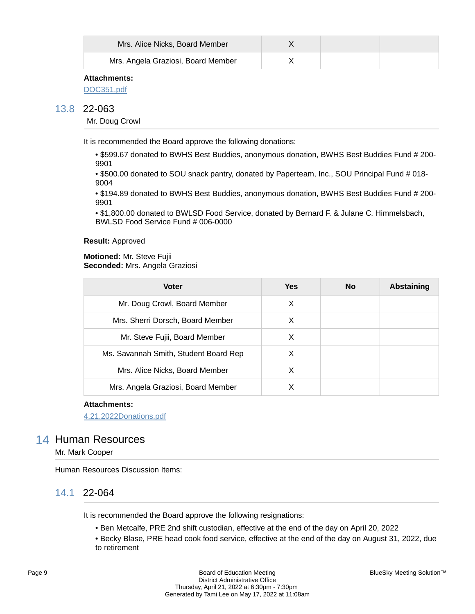| Mrs. Alice Nicks, Board Member     |  |  |
|------------------------------------|--|--|
| Mrs. Angela Graziosi, Board Member |  |  |

[DOC351.pdf](https://bigwalnut.blueskymeeting.com/meeting_groups/274/item_attachments/66446)

### 13.8 22-063

Mr. Doug Crowl

It is recommended the Board approve the following donations:

• \$599.67 donated to BWHS Best Buddies, anonymous donation, BWHS Best Buddies Fund # 200- 9901

• \$500.00 donated to SOU snack pantry, donated by Paperteam, Inc., SOU Principal Fund # 018- 9004

• \$194.89 donated to BWHS Best Buddies, anonymous donation, BWHS Best Buddies Fund # 200- 9901

• \$1,800.00 donated to BWLSD Food Service, donated by Bernard F. & Julane C. Himmelsbach, BWLSD Food Service Fund # 006-0000

#### **Result:** Approved

#### **Motioned:** Mr. Steve Fujii **Seconded:** Mrs. Angela Graziosi

| <b>Voter</b>                          | <b>Yes</b> | <b>No</b> | <b>Abstaining</b> |
|---------------------------------------|------------|-----------|-------------------|
| Mr. Doug Crowl, Board Member          | х          |           |                   |
| Mrs. Sherri Dorsch, Board Member      | X          |           |                   |
| Mr. Steve Fujii, Board Member         | X          |           |                   |
| Ms. Savannah Smith, Student Board Rep | X          |           |                   |
| Mrs. Alice Nicks, Board Member        | х          |           |                   |
| Mrs. Angela Graziosi, Board Member    | Х          |           |                   |

#### **Attachments:**

[4.21.2022Donations.pdf](https://bigwalnut.blueskymeeting.com/meeting_groups/274/item_attachments/66445)

### 14 Human Resources

Mr. Mark Cooper

Human Resources Discussion Items:

### 14.1 22-064

It is recommended the Board approve the following resignations:

• Ben Metcalfe, PRE 2nd shift custodian, effective at the end of the day on April 20, 2022

• Becky Blase, PRE head cook food service, effective at the end of the day on August 31, 2022, due to retirement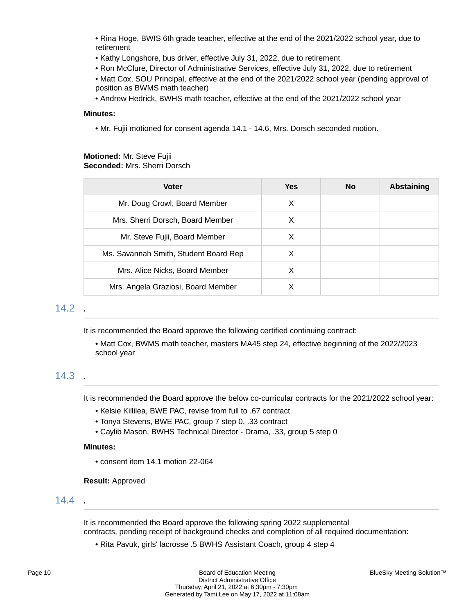• Rina Hoge, BWIS 6th grade teacher, effective at the end of the 2021/2022 school year, due to retirement

- Kathy Longshore, bus driver, effective July 31, 2022, due to retirement
- Ron McClure, Director of Administrative Services, effective July 31, 2022, due to retirement
- Matt Cox, SOU Principal, effective at the end of the 2021/2022 school year (pending approval of position as BWMS math teacher)
- Andrew Hedrick, BWHS math teacher, effective at the end of the 2021/2022 school year

#### **Minutes:**

• Mr. Fujii motioned for consent agenda 14.1 - 14.6, Mrs. Dorsch seconded motion.

#### **Motioned:** Mr. Steve Fujii **Seconded:** Mrs. Sherri Dorsch

| <b>Voter</b>                          | <b>Yes</b> | <b>No</b> | <b>Abstaining</b> |
|---------------------------------------|------------|-----------|-------------------|
| Mr. Doug Crowl, Board Member          | X          |           |                   |
| Mrs. Sherri Dorsch, Board Member      | X          |           |                   |
| Mr. Steve Fujii, Board Member         | X          |           |                   |
| Ms. Savannah Smith, Student Board Rep | X          |           |                   |
| Mrs. Alice Nicks, Board Member        | х          |           |                   |
| Mrs. Angela Graziosi, Board Member    | X          |           |                   |

### 14.2 .

It is recommended the Board approve the following certified continuing contract:

• Matt Cox, BWMS math teacher, masters MA45 step 24, effective beginning of the 2022/2023 school year

# 14.3 .

It is recommended the Board approve the below co-curricular contracts for the 2021/2022 school year:

- Kelsie Killilea, BWE PAC, revise from full to .67 contract
- Tonya Stevens, BWE PAC, group 7 step 0, .33 contract
- Caylib Mason, BWHS Technical Director Drama, .33, group 5 step 0

#### **Minutes:**

• consent item 14.1 motion 22-064

**Result:** Approved

### $14.4$

It is recommended the Board approve the following spring 2022 supplemental contracts, pending receipt of background checks and completion of all required documentation:

• Rita Pavuk, girls' lacrosse .5 BWHS Assistant Coach, group 4 step 4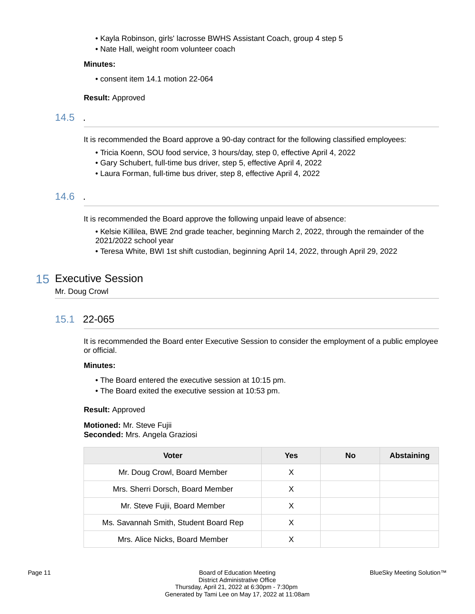- Kayla Robinson, girls' lacrosse BWHS Assistant Coach, group 4 step 5
- Nate Hall, weight room volunteer coach

#### **Minutes:**

• consent item 14.1 motion 22-064

#### **Result:** Approved

# 14.5 .

It is recommended the Board approve a 90-day contract for the following classified employees:

- Tricia Koenn, SOU food service, 3 hours/day, step 0, effective April 4, 2022
- Gary Schubert, full-time bus driver, step 5, effective April 4, 2022
- Laura Forman, full-time bus driver, step 8, effective April 4, 2022

### 14.6 .

It is recommended the Board approve the following unpaid leave of absence:

- Kelsie Killilea, BWE 2nd grade teacher, beginning March 2, 2022, through the remainder of the 2021/2022 school year
- Teresa White, BWI 1st shift custodian, beginning April 14, 2022, through April 29, 2022

# 15 Executive Session

Mr. Doug Crowl

### 15.1 22-065

It is recommended the Board enter Executive Session to consider the employment of a public employee or official.

### **Minutes:**

- The Board entered the executive session at 10:15 pm.
- The Board exited the executive session at 10:53 pm.

#### **Result:** Approved

**Motioned:** Mr. Steve Fujii **Seconded:** Mrs. Angela Graziosi

| <b>Voter</b>                          | Yes | <b>No</b> | <b>Abstaining</b> |
|---------------------------------------|-----|-----------|-------------------|
| Mr. Doug Crowl, Board Member          | X   |           |                   |
| Mrs. Sherri Dorsch, Board Member      | X   |           |                   |
| Mr. Steve Fujii, Board Member         | X   |           |                   |
| Ms. Savannah Smith, Student Board Rep | х   |           |                   |
| Mrs. Alice Nicks, Board Member        |     |           |                   |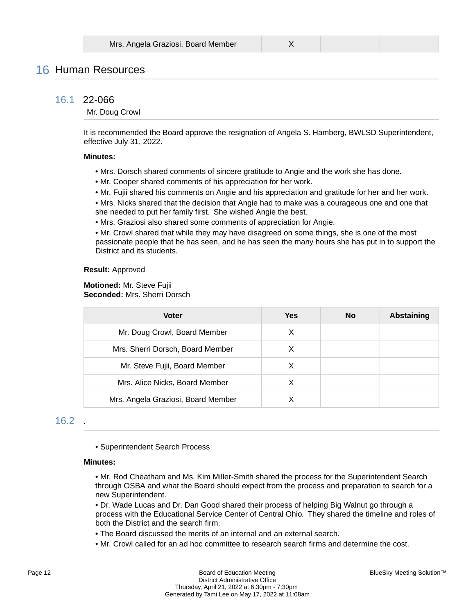# 16 Human Resources

### 16.1 22-066

#### Mr. Doug Crowl

It is recommended the Board approve the resignation of Angela S. Hamberg, BWLSD Superintendent, effective July 31, 2022.

#### **Minutes:**

- Mrs. Dorsch shared comments of sincere gratitude to Angie and the work she has done.
- Mr. Cooper shared comments of his appreciation for her work.
- Mr. Fujii shared his comments on Angie and his appreciation and gratitude for her and her work.
- Mrs. Nicks shared that the decision that Angie had to make was a courageous one and one that she needed to put her family first. She wished Angie the best.
- Mrs. Graziosi also shared some comments of appreciation for Angie.

• Mr. Crowl shared that while they may have disagreed on some things, she is one of the most passionate people that he has seen, and he has seen the many hours she has put in to support the District and its students.

#### **Result:** Approved

#### **Motioned:** Mr. Steve Fujii **Seconded:** Mrs. Sherri Dorsch

| <b>Voter</b>                       | <b>Yes</b> | <b>No</b> | <b>Abstaining</b> |
|------------------------------------|------------|-----------|-------------------|
| Mr. Doug Crowl, Board Member       | Х          |           |                   |
| Mrs. Sherri Dorsch, Board Member   | х          |           |                   |
| Mr. Steve Fujii, Board Member      | Х          |           |                   |
| Mrs. Alice Nicks, Board Member     | х          |           |                   |
| Mrs. Angela Graziosi, Board Member |            |           |                   |

### 16.2 .

• Superintendent Search Process

#### **Minutes:**

• Mr. Rod Cheatham and Ms. Kim Miller-Smith shared the process for the Superintendent Search through OSBA and what the Board should expect from the process and preparation to search for a new Superintendent.

• Dr. Wade Lucas and Dr. Dan Good shared their process of helping Big Walnut go through a process with the Educational Service Center of Central Ohio. They shared the timeline and roles of both the District and the search firm.

- The Board discussed the merits of an internal and an external search.
- Mr. Crowl called for an ad hoc committee to research search firms and determine the cost.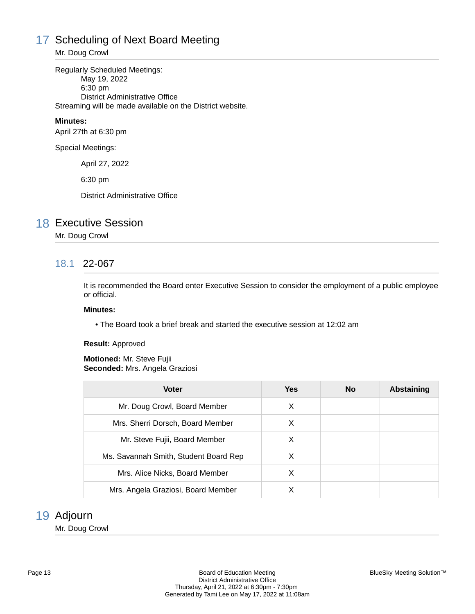# 17 Scheduling of Next Board Meeting

Mr. Doug Crowl

Regularly Scheduled Meetings: May 19, 2022 6:30 pm District Administrative Office Streaming will be made available on the District website.

### **Minutes:**

April 27th at 6:30 pm

Special Meetings:

April 27, 2022

6:30 pm

District Administrative Office

# 18 Executive Session

### Mr. Doug Crowl

# 18.1 22-067

It is recommended the Board enter Executive Session to consider the employment of a public employee or official.

#### **Minutes:**

• The Board took a brief break and started the executive session at 12:02 am

#### **Result:** Approved

#### **Motioned:** Mr. Steve Fujii **Seconded:** Mrs. Angela Graziosi

| <b>Voter</b>                          | <b>Yes</b> | <b>No</b> | <b>Abstaining</b> |
|---------------------------------------|------------|-----------|-------------------|
| Mr. Doug Crowl, Board Member          | X          |           |                   |
| Mrs. Sherri Dorsch, Board Member      | X          |           |                   |
| Mr. Steve Fujii, Board Member         | X          |           |                   |
| Ms. Savannah Smith, Student Board Rep | X          |           |                   |
| Mrs. Alice Nicks, Board Member        | X          |           |                   |
| Mrs. Angela Graziosi, Board Member    | х          |           |                   |

# 19 Adjourn

Mr. Doug Crowl